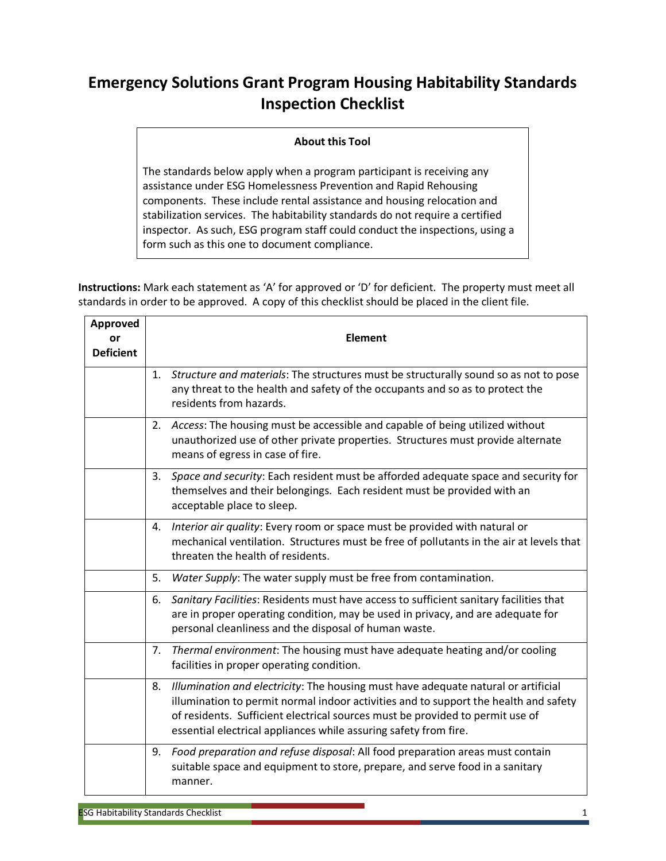## **Emergency Solutions Grant Program Housing Habitability Standards Inspection Checklist**

## **About this Tool**

The standards below apply when a program participant is receiving any assistance under ESG Homelessness Prevention and Rapid Rehousing components. These include rental assistance and housing relocation and stabilization services. The habitability standards do not require a certified inspector. As such, ESG program staff could conduct the inspections, using a form such as this one to document compliance.

**Instructions:** Mark each statement as 'A' for approved or 'D' for deficient. The property must meet all standards in order to be approved. A copy of this checklist should be placed in the client file.

| Approved<br>٥r<br><b>Deficient</b> | Element                                                                                                                                                                                                                                                                                                                               |
|------------------------------------|---------------------------------------------------------------------------------------------------------------------------------------------------------------------------------------------------------------------------------------------------------------------------------------------------------------------------------------|
|                                    | 1. Structure and materials: The structures must be structurally sound so as not to pose<br>any threat to the health and safety of the occupants and so as to protect the<br>residents from hazards.                                                                                                                                   |
|                                    | 2. Access: The housing must be accessible and capable of being utilized without<br>unauthorized use of other private properties. Structures must provide alternate<br>means of egress in case of fire.                                                                                                                                |
|                                    | 3. Space and security: Each resident must be afforded adequate space and security for<br>themselves and their belongings. Each resident must be provided with an<br>acceptable place to sleep.                                                                                                                                        |
|                                    | 4. Interior air quality: Every room or space must be provided with natural or<br>mechanical ventilation. Structures must be free of pollutants in the air at levels that<br>threaten the health of residents.                                                                                                                         |
|                                    | Water Supply: The water supply must be free from contamination.<br>5.                                                                                                                                                                                                                                                                 |
|                                    | Sanitary Facilities: Residents must have access to sufficient sanitary facilities that<br>6.<br>are in proper operating condition, may be used in privacy, and are adequate for<br>personal cleanliness and the disposal of human waste.                                                                                              |
|                                    | 7. Thermal environment: The housing must have adequate heating and/or cooling<br>facilities in proper operating condition.                                                                                                                                                                                                            |
|                                    | Illumination and electricity: The housing must have adequate natural or artificial<br>8.<br>illumination to permit normal indoor activities and to support the health and safety<br>of residents. Sufficient electrical sources must be provided to permit use of<br>essential electrical appliances while assuring safety from fire. |
|                                    | 9. Food preparation and refuse disposal: All food preparation areas must contain<br>suitable space and equipment to store, prepare, and serve food in a sanitary<br>manner.                                                                                                                                                           |